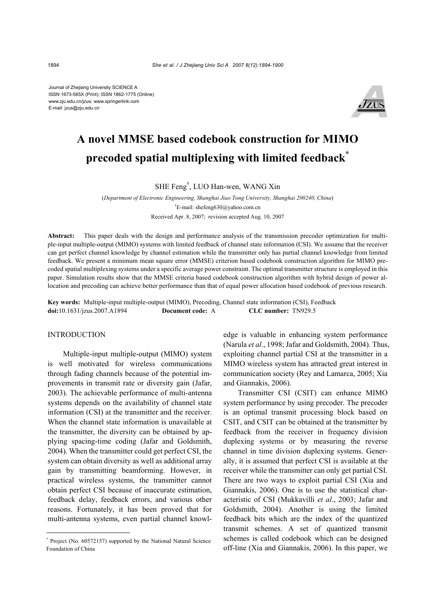Journal of Zhejiang University SCIENCE A ISSN 1673-565X (Print); ISSN 1862-1775 (Online) www.zju.edu.cn/jzus; www.springerlink.com E-mail: jzus@zju.edu.cn



# **A novel MMSE based codebook construction for MIMO precoded spatial multiplexing with limited feedback\***

SHE Feng† , LUO Han-wen, WANG Xin

(*Department of Electronic Engineering, Shanghai Jiao Tong University, Shanghai 200240, China*) † E-mail: shefeng630@yahoo.com.cn Received Apr. 8, 2007; revision accepted Aug. 10, 2007

**Abstract:** This paper deals with the design and performance analysis of the transmission precoder optimization for multiple-input multiple-output (MIMO) systems with limited feedback of channel state information (CSI). We assume that the receiver can get perfect channel knowledge by channel estimation while the transmitter only has partial channel knowledge from limited feedback. We present a minimum mean square error (MMSE) criterion based codebook construction algorithm for MIMO precoded spatial multiplexing systems under a specific average power constraint. The optimal transmitter structure is employed in this paper. Simulation results show that the MMSE criteria based codebook construction algorithm with hybrid design of power allocation and precoding can achieve better performance than that of equal power allocation based codebook of previous research.

**Key words:** Multiple-input multiple-output (MIMO), Precoding, Channel state information (CSI), Feedback **doi:**10.1631/jzus.2007.A1894 **Document code:** A **CLC number:** TN929.5

#### INTRODUCTION

Multiple-input multiple-output (MIMO) system is well motivated for wireless communications through fading channels because of the potential improvements in transmit rate or diversity gain (Jafar, 2003). The achievable performance of multi-antenna systems depends on the availability of channel state information (CSI) at the transmitter and the receiver. When the channel state information is unavailable at the transmitter, the diversity can be obtained by applying spacing-time coding (Jafar and Goldsmith, 2004). When the transmitter could get perfect CSI, the system can obtain diversity as well as additional array gain by transmitting beamforming. However, in practical wireless systems, the transmitter cannot obtain perfect CSI because of inaccurate estimation, feedback delay, feedback errors, and various other reasons. Fortunately, it has been proved that for multi-antenna systems, even partial channel knowledge is valuable in enhancing system performance (Narula *et al*., 1998; Jafar and Goldsmith, 2004). Thus, exploiting channel partial CSI at the transmitter in a MIMO wireless system has attracted great interest in communication society (Rey and Lamarca, 2005; Xia and Giannakis, 2006).

Transmitter CSI (CSIT) can enhance MIMO system performance by using precoder. The precoder is an optimal transmit processing block based on CSIT, and CSIT can be obtained at the transmitter by feedback from the receiver in frequency division duplexing systems or by measuring the reverse channel in time division duplexing systems. Generally, it is assumed that perfect CSI is available at the receiver while the transmitter can only get partial CSI. There are two ways to exploit partial CSI (Xia and Giannakis, 2006). One is to use the statistical characteristic of CSI (Mukkavilli *et al*., 2003; Jafar and Goldsmith, 2004). Another is using the limited feedback bits which are the index of the quantized transmit schemes. A set of quantized transmit schemes is called codebook which can be designed off-line (Xia and Giannakis, 2006). In this paper, we

<sup>\*</sup> Project (No. 60572157) supported by the National Natural Science Foundation of China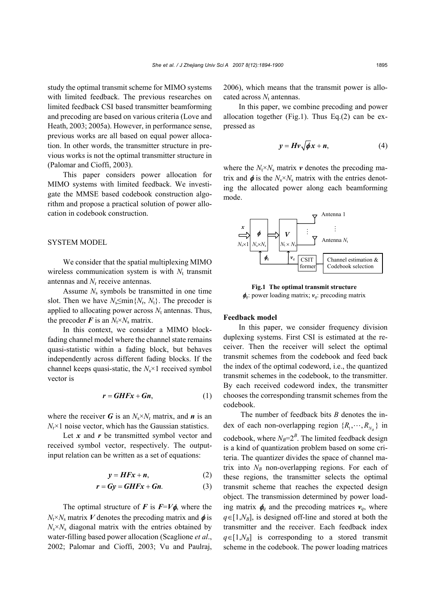study the optimal transmit scheme for MIMO systems with limited feedback. The previous researches on limited feedback CSI based transmitter beamforming and precoding are based on various criteria (Love and Heath, 2003; 2005a). However, in performance sense, previous works are all based on equal power allocation. In other words, the transmitter structure in previous works is not the optimal transmitter structure in (Palomar and Cioffi, 2003).

This paper considers power allocation for MIMO systems with limited feedback. We investigate the MMSE based codebook construction algorithm and propose a practical solution of power allocation in codebook construction.

# SYSTEM MODEL

We consider that the spatial multiplexing MIMO wireless communication system is with  $N_t$  transmit antennas and *N*r receive antennas.

Assume  $N_s$  symbols be transmitted in one time slot. Then we have  $N_s \leq \min\{N_r, N_t\}$ . The precoder is applied to allocating power across  $N_t$  antennas. Thus, the precoder  $\vec{F}$  is an  $N_t \times N_s$  matrix.

In this context, we consider a MIMO blockfading channel model where the channel state remains quasi-statistic within a fading block, but behaves independently across different fading blocks. If the channel keeps quasi-static, the *N*s×1 received symbol vector is

$$
r = GHFx + Gn,
$$
 (1)

where the receiver *G* is an  $N_s \times N_r$  matrix, and *n* is an  $N_r \times 1$  noise vector, which has the Gaussian statistics.

Let *x* and *r* be transmitted symbol vector and received symbol vector, respectively. The outputinput relation can be written as a set of equations:

$$
y = HFx + n,\tag{2}
$$

$$
r = Gy = GHFx + Gn.
$$
 (3)

The optimal structure of *F* is  $F=V\phi$ , where the  $N_t \times N_s$  matrix *V* denotes the precoding matrix and  $\phi$  is  $N_s \times N_s$  diagonal matrix with the entries obtained by water-filling based power allocation (Scaglione *et al*., 2002; Palomar and Cioffi, 2003; Vu and Paulraj,

2006), which means that the transmit power is allocated across  $N_t$  antennas.

In this paper, we combine precoding and power allocation together (Fig.1). Thus Eq.(2) can be expressed as

$$
y = Hv\sqrt{\phi x + n},
$$
 (4)

where the  $N_t \times N_s$  matrix  $\boldsymbol{v}$  denotes the precoding matrix and  $\phi$  is the  $N_s \times N_s$  matrix with the entries denoting the allocated power along each beamforming mode.



**Fig.1 The optimal transmit structure** 

# **Feedback model**

In this paper, we consider frequency division duplexing systems. First CSI is estimated at the receiver. Then the receiver will select the optimal transmit schemes from the codebook and feed back the index of the optimal codeword, i.e., the quantized transmit schemes in the codebook, to the transmitter. By each received codeword index, the transmitter chooses the corresponding transmit schemes from the codebook.

 The number of feedback bits *B* denotes the index of each non-overlapping region  $\{R_1, \dots, R_{N_n}\}\$ in codebook, where  $N_B = 2^B$ . The limited feedback design is a kind of quantization problem based on some criteria. The quantizer divides the space of channel matrix into  $N_B$  non-overlapping regions. For each of these regions, the transmitter selects the optimal transmit scheme that reaches the expected design object. The transmission determined by power loading matrix  $\phi_q$  and the precoding matrices  $v_q$ , where  $q \in [1, N_B]$ , is designed off-line and stored at both the transmitter and the receiver. Each feedback index  $q \in [1, N_B]$  is corresponding to a stored transmit **Example 19**  $V$  is the computer of  $N_s \times N_s$ <br> **Example 19**  $N_s \times N_s$ <br> **Example in the codebook selection**<br> **Fig.1** The optimal transmit structure<br> **Fig.1.** The optimal transmit structure<br> **Fig.1.** The optimal transmit stru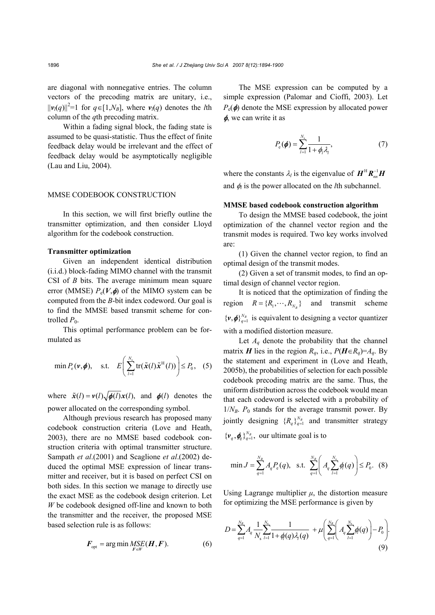are diagonal with nonnegative entries. The column vectors of the precoding matrix are unitary, i.e.,  $||\mathbf{v}_l(q)||^2 = 1$  for  $q \in [1, N_B]$ , where  $\mathbf{v}_l(q)$  denotes the *l*th column of the *q*th precoding matrix.

Within a fading signal block, the fading state is assumed to be quasi-statistic. Thus the effect of finite feedback delay would be irrelevant and the effect of feedback delay would be asymptotically negligible (Lau and Liu, 2004).

#### MMSE CODEBOOK CONSTRUCTION

In this section, we will first briefly outline the transmitter optimization, and then consider Lloyd algorithm for the codebook construction.

# **Transmitter optimization**

Given an independent identical distribution (i.i.d.) block-fading MIMO channel with the transmit CSI of *B* bits. The average minimum mean square error (MMSE)  $P_e(V, \phi)$  of the MIMO system can be computed from the *B*-bit index codeword. Our goal is to find the MMSE based transmit scheme for controlled  $P_0$ .

This optimal performance problem can be formulated as

$$
\min P_e(\mathbf{v}, \boldsymbol{\phi}), \quad \text{s.t.} \quad E\left(\sum_{l=1}^{N_s} \text{tr}(\tilde{\mathbf{x}}(l)\tilde{\mathbf{x}}^{H}(l))\right) \le P_0, \quad (5)
$$

where  $\tilde{x}(l) = v(l)\sqrt{\phi(l)}x(l)$ , and  $\phi(l)$  denotes the power allocated on the corresponding symbol.

Although previous research has proposed many codebook construction criteria (Love and Heath, 2003), there are no MMSE based codebook construction criteria with optimal transmitter structure. Sampath *et al*.(2001) and Scaglione *et al*.(2002) deduced the optimal MSE expression of linear transmitter and receiver, but it is based on perfect CSI on both sides. In this section we manage to directly use the exact MSE as the codebook design criterion. Let *W* be codebook designed off-line and known to both the transmitter and the receiver, the proposed MSE based selection rule is as follows:

$$
F_{\text{opt}} = \arg\min_{F \in W} \underset{F \in W}{MSE}(H, F). \tag{6}
$$

The MSE expression can be computed by a simple expression (Palomar and Cioffi, 2003). Let  $P_e(\phi)$  denote the MSE expression by allocated power  $\phi$ , we can write it as

$$
P_{\rm e}(\boldsymbol{\phi}) = \sum_{l=1}^{N_{\rm s}} \frac{1}{1 + \phi_l \lambda_l},\tag{7}
$$

where the constants  $\lambda_l$  is the eigenvalue of  $H^H R_{nn}^{-1}H$ and  $\phi_l$  is the power allocated on the *l*th subchannel.

# **MMSE based codebook construction algorithm**

To design the MMSE based codebook, the joint optimization of the channel vector region and the transmit modes is required. Two key works involved are:

(1) Given the channel vector region, to find an optimal design of the transmit modes.

(2) Given a set of transmit modes, to find an optimal design of channel vector region.

It is noticed that the optimization of finding the region  $R = \{R_1, \dots, R_{N_n}\}\$  and transmit scheme  $\{v, \phi\}_{q=1}^{N_B}$  is equivalent to designing a vector quantizer with a modified distortion measure.

Let  $A_q$  denote the probability that the channel matrix *H* lies in the region  $R_q$ , i.e.,  $P(H \in R_q) = A_q$ . By the statement and experiment in (Love and Heath, 2005b), the probabilities of selection for each possible codebook precoding matrix are the same. Thus, the uniform distribution across the codebook would mean that each codeword is selected with a probability of  $1/N_B$ .  $P_0$  stands for the average transmit power. By jointly designing  ${R_a}_{a=1}^{N_B}$  and transmitter strategy  $\{v_q, \phi_q\}_{q=1}^{N_B}$ , our ultimate goal is to

$$
\min J = \sum_{q=1}^{N_B} A_q P_e(q), \text{ s.t. } \sum_{q=1}^{N_B} \left( A_q \sum_{l=1}^{N_s} \phi(q) \right) \le P_0. \quad (8)
$$

Using Lagrange multiplier  $\mu$ , the distortion measure for optimizing the MSE performance is given by

$$
D = \sum_{q=1}^{N_B} A_q \frac{1}{N_s} \sum_{l=1}^{N_s} \frac{1}{1 + \phi(q) \lambda_l(q)} + \mu \left( \sum_{q=1}^{N_B} \left( A_q \sum_{l=1}^{N_s} \phi(q) \right) - P_0 \right).
$$
\n(9)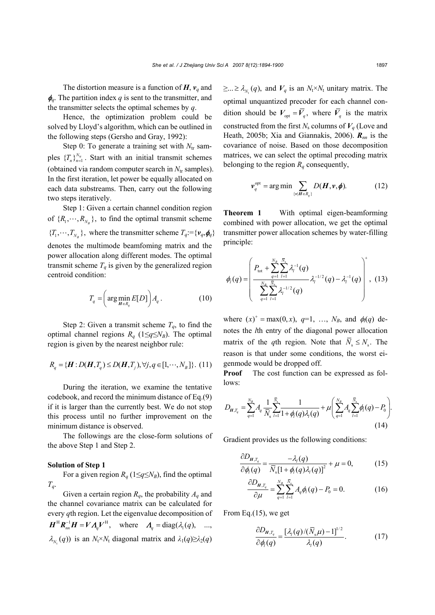The distortion measure is a function of  $H$ ,  $v_q$  and  $\phi_q$ . The partition index *q* is sent to the transmitter, and the transmitter selects the optimal schemes by *q*.

Hence, the optimization problem could be solved by Lloyd's algorithm, which can be outlined in the following steps (Gersho and Gray, 1992):

Step 0: To generate a training set with  $N_{tr}$  samples  $\{T_n\}_{n=1}^{N_u}$ . Start with an initial transmit schemes (obtained via random computer search in  $N_{tr}$  samples). In the first iteration, let power be equally allocated on each data substreams. Then, carry out the following two steps iteratively.

Step 1: Given a certain channel condition region of  $\{R_1, \dots, R_{N_p}\}$ , to find the optimal transmit scheme  ${T_1, \cdots, T_{N_p}}$ , where the transmitter scheme  $T_q := {v_q, \phi_q}$ denotes the multimode beamfoming matrix and the power allocation along different modes. The optimal transmit scheme  $T_q$  is given by the generalized region centroid condition:

$$
T_q = \left(\arg\min_{H \in R_q} E[D]\right) A_q \,. \tag{10}
$$

Step 2: Given a transmit scheme  $T_q$ , to find the optimal channel regions  $R_q$  (1≤*q*≤ $N_B$ ). The optimal region is given by the nearest neighbor rule:

$$
R_q = \{ \mathbf{H} : D(\mathbf{H}, T_q) \le D(\mathbf{H}, T_j), \forall j, q \in [1, \cdots, N_B] \}. (11)
$$

During the iteration, we examine the tentative codebook, and record the minimum distance of Eq.(9) if it is larger than the currently best. We do not stop this process until no further improvement on the minimum distance is observed.

The followings are the close-form solutions of the above Step 1 and Step 2.

#### **Solution of Step 1**

For a given region  $R_q$  (1≤*q*≤ $N_B$ ), find the optimal *Tq*.

Given a certain region  $R_q$ , the probability  $A_q$  and the channel covariance matrix can be calculated for every *q*th region. Let the eigenvalue decomposition of  $H^H R_{nn}^{-1} H = V A_q V^H$ , where  $A_q = \text{diag}(\lambda_1(q), \dots, \lambda_q)$  $\lambda_{N_t}(q)$ ) is an  $N_t \times N_t$  diagonal matrix and  $\lambda_1(q) \geq \lambda_2(q)$ 

 $\geq ... \geq \lambda_{N_t}(q)$ , and  $V_q$  is an  $N_t \times N_t$  unitary matrix. The optimal unquantized precoder for each channel condition should be  $V_{\text{opt}} = \overline{V}_q$ , where  $\overline{V}_q$  is the matrix constructed from the first  $N_s$  columns of  $V_a$  (Love and Heath, 2005b; Xia and Giannakis, 2006). *Rnn* is the covariance of noise. Based on those decomposition matrices, we can select the optimal precoding matrix belonging to the region  $R_q$  consequently,

$$
\boldsymbol{\nu}_q^{\text{opt}} = \arg \min \sum_{\{\mathbf{v} | \boldsymbol{H} \in \boldsymbol{R}_q\}} D(\boldsymbol{H}, \mathbf{v}, \boldsymbol{\phi}). \tag{12}
$$

**Theorem 1** With optimal eigen-beamforming combined with power allocation, we get the optimal transmitter power allocation schemes by water-filling principle:

$$
\phi_{l}(q) = \left(\frac{P_{\text{tot}} + \sum_{q=1}^{N_B} \sum_{l=1}^{\overline{N}_s} \lambda_l^{-1}(q)}{\sum_{q=1}^{N_B} \sum_{l=1}^{\overline{N}_s} \lambda_l^{-1/2}(q)} \lambda_l^{-1/2}(q) - \lambda_l^{-1}(q)\right)^{+}, (13)
$$

where  $(x)^+$  = max(0, x),  $q=1$ , ...,  $N_B$ , and  $\phi_l(q)$  denotes the *l*th entry of the diagonal power allocation matrix of the *q*th region. Note that  $\overline{N}_s \leq N_s$ . The reason is that under some conditions, the worst eigenmode would be dropped off.

**Proof** The cost function can be expressed as follows:

$$
D_{H,T_q} = \sum_{q=1}^{N_B} A_q \frac{1}{\overline{N}_s} \sum_{l=1}^{\overline{N}_s} \frac{1}{1 + \phi_l(q) \lambda_l(q)} + \mu \left( \sum_{q=1}^{N_B} A_q \sum_{l=1}^{\overline{N}_s} \phi_l(q) - P_0 \right).
$$
\n(14)

Gradient provides us the following conditions:

$$
\frac{\partial D_{H,T_q}}{\partial \phi_l(q)} = \frac{-\lambda_l(q)}{\overline{N}_s[1 + \phi_l(q)\lambda_l(q)]^2} + \mu = 0, \quad (15)
$$

$$
\frac{\partial D_{H,T_q}}{\partial \mu} = \sum_{q=1}^{N_B} \sum_{l=1}^{\bar{N}_s} A_q \phi_l(q) - P_0 = 0.
$$
 (16)

From Eq.(15), we get

$$
\frac{\partial D_{H,T_q}}{\partial \phi_l(q)} = \frac{\left[\lambda_l(q)/(\bar{N}_s\mu) - 1\right]^{1/2}}{\lambda_l(q)}.
$$
 (17)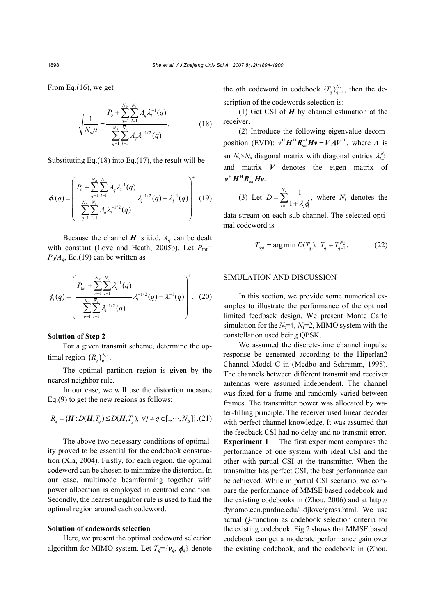From Eq.(16), we get

$$
\sqrt{\frac{1}{\bar{N}_s \mu}} = \frac{P_0 + \sum_{q=1}^{N_B} \sum_{l=1}^{\bar{N}_s} A_q \lambda_l^{-1}(q)}{\sum_{q=1}^{N_B} \sum_{l=1}^{\bar{N}_s} A_q \lambda_l^{-1/2}(q)}.
$$
 (18)

Substituting Eq.(18) into Eq.(17), the result will be

$$
\phi_{l}(q) = \left(\frac{P_{0} + \sum_{q=1}^{N_{B}} \sum_{l=1}^{\overline{N}_{s}} A_{q} \lambda_{l}^{-1}(q)}{\sum_{q=1}^{N_{B}} \sum_{l=1}^{\overline{N}_{s}} A_{q} \lambda_{l}^{-1/2}(q)} \lambda_{l}^{-1/2}(q) - \lambda_{l}^{-1}(q)\right)^{+} . (19)
$$

Because the channel  $H$  is i.i.d,  $A_q$  can be dealt with constant (Love and Heath, 2005b). Let  $P_{\text{tot}}=$  $P_0/A_q$ , Eq.(19) can be written as

$$
\phi_{I}(q) = \left(\frac{P_{\text{tot}} + \sum_{q=1}^{N_{B}} \sum_{l=1}^{\overline{N}_{s}} \lambda_{l}^{-1}(q)}{\sum_{q=1}^{N_{B}} \sum_{l=1}^{\overline{N}_{s}} \lambda_{l}^{-1/2}(q)} \lambda_{l}^{-1/2}(q) - \lambda_{l}^{-1}(q)\right)^{+}.
$$
 (20)

# **Solution of Step 2**

For a given transmit scheme, determine the optimal region  ${R_q}_{q=1}^{N_B}$ .

The optimal partition region is given by the nearest neighbor rule.

In our case, we will use the distortion measure Eq.(9) to get the new regions as follows:

$$
R_q = \{H: D(H, T_q) \le D(H, T_j), \ \forall j \ne q \in [1, \cdots, N_B]\}.
$$
 (21)

The above two necessary conditions of optimality proved to be essential for the codebook construction (Xia, 2004). Firstly, for each region, the optimal codeword can be chosen to minimize the distortion. In our case, multimode beamforming together with power allocation is employed in centroid condition. Secondly, the nearest neighbor rule is used to find the optimal region around each codeword.

#### **Solution of codewords selection**

Here, we present the optimal codeword selection algorithm for MIMO system. Let  $T_q = \{v_q, \phi_q\}$  denote the *q*th codeword in codebook  $\{T_q\}_{q=1}^{N_B}$ , then the description of the codewords selection is:

(1) Get CSI of *H* by channel estimation at the receiver.

(2) Introduce the following eigenvalue decomposition (EVD):  $v^H H^H R_m^{-1} H v = V A V^H$ , where *Λ* is an  $N_s \times N_s$  diagonal matrix with diagonal entries  $\lambda_{l=1}^{N_s}$ and matrix *V* denotes the eigen matrix of  $\bm{v}^{\rm H} \bm{H}^{\rm H} \bm{R}_{\scriptscriptstyle \!m\!}^{-1} \bm{H} \bm{v}$ .

(3) Let 
$$
D = \sum_{l=1}^{N_s} \frac{1}{1 + \lambda_l q_l}
$$
, where  $N_s$  denotes the

data stream on each sub-channel. The selected optimal codeword is

$$
T_{\text{opt}} = \arg \min D(T_q), \ T_q \in T_{q=1}^{N_B}.
$$
 (22)

# SIMULATION AND DISCUSSION

In this section, we provide some numerical examples to illustrate the performance of the optimal limited feedback design. We present Monte Carlo simulation for the  $N_f=4$ ,  $N_r=2$ , MIMO system with the constellation used being QPSK.

We assumed the discrete-time channel impulse response be generated according to the Hiperlan2 Channel Model C in (Medbo and Schramm, 1998). The channels between different transmit and receiver antennas were assumed independent. The channel was fixed for a frame and randomly varied between frames. The transmitter power was allocated by water-filling principle. The receiver used linear decoder with perfect channel knowledge. It was assumed that the feedback CSI had no delay and no transmit error. **Experiment 1** The first experiment compares the performance of one system with ideal CSI and the other with partial CSI at the transmitter. When the transmitter has perfect CSI, the best performance can be achieved. While in partial CSI scenario, we compare the performance of MMSE based codebook and the existing codebooks in (Zhou, 2006) and at http:// dynamo.ecn.purdue.edu/~djlove/grass.html. We use actual *Q*-function as codebook selection criteria for the existing codebook. Fig.2 shows that MMSE based codebook can get a moderate performance gain over the existing codebook, and the codebook in (Zhou,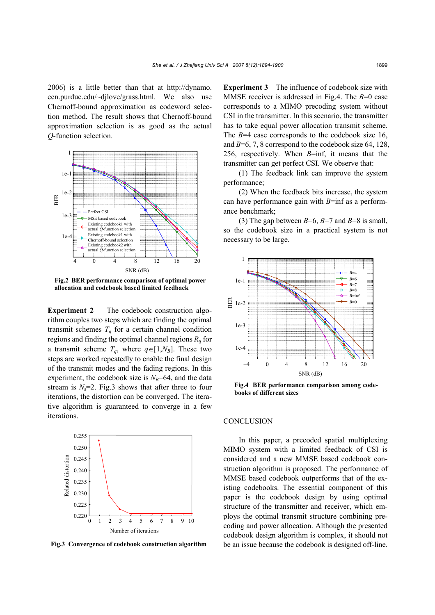2006) is a little better than that at http://dynamo. ecn.purdue.edu/~djlove/grass.html. We also use Chernoff-bound approximation as codeword selection method. The result shows that Chernoff-bound approximation selection is as good as the actual *Q*-function selection.



**Fig.2 BER performance comparison of optimal power allocation and codebook based limited feedback** 

**Experiment 2** The codebook construction algorithm couples two steps which are finding the optimal transmit schemes  $T_q$  for a certain channel condition regions and finding the optimal channel regions  $R_q$  for a transmit scheme  $T_q$ , where  $q \in [1, N_B]$ . These two steps are worked repeatedly to enable the final design of the transmit modes and the fading regions. In this experiment, the codebook size is  $N_B$ =64, and the data stream is  $N_s=2$ . Fig.3 shows that after three to four iterations, the distortion can be converged. The iterative algorithm is guaranteed to converge in a few iterations.



**Fig.3 Convergence of codebook construction algorithm**

**Experiment 3** The influence of codebook size with MMSE receiver is addressed in Fig.4. The *B*=0 case corresponds to a MIMO precoding system without CSI in the transmitter. In this scenario, the transmitter has to take equal power allocation transmit scheme. The *B*=4 case corresponds to the codebook size 16, and *B*=6, 7, 8 correspond to the codebook size 64, 128, 256, respectively. When *B*=inf, it means that the transmitter can get perfect CSI. We observe that:

(1) The feedback link can improve the system performance;

(2) When the feedback bits increase, the system can have performance gain with *B*=inf as a performance benchmark;

(3) The gap between  $B=6$ ,  $B=7$  and  $B=8$  is small, so the codebook size in a practical system is not necessary to be large.



**Fig.4 BER performance comparison among codebooks of different sizes**

#### **CONCLUSION**

In this paper, a precoded spatial multiplexing MIMO system with a limited feedback of CSI is considered and a new MMSE based codebook construction algorithm is proposed. The performance of MMSE based codebook outperforms that of the existing codebooks. The essential component of this paper is the codebook design by using optimal structure of the transmitter and receiver, which employs the optimal transmit structure combining precoding and power allocation. Although the presented codebook design algorithm is complex, it should not be an issue because the codebook is designed off-line.